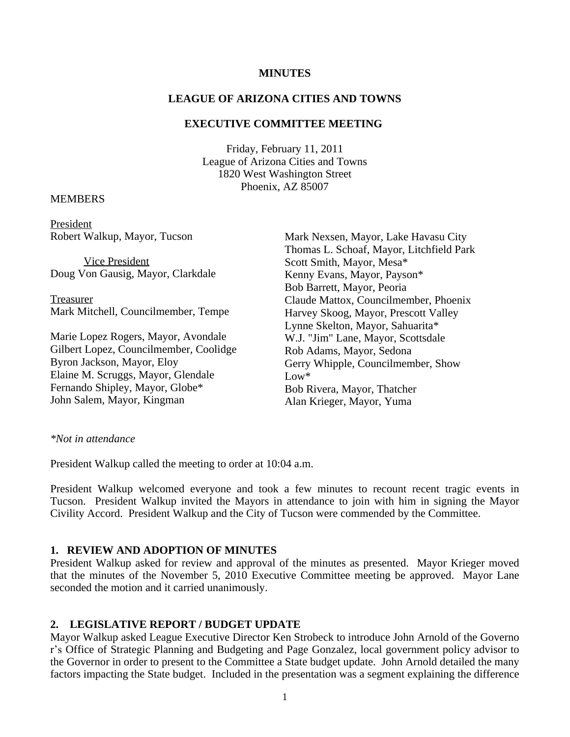### **MINUTES**

### **LEAGUE OF ARIZONA CITIES AND TOWNS**

# **EXECUTIVE COMMITTEE MEETING**

Friday, February 11, 2011 League of Arizona Cities and Towns 1820 West Washington Street Phoenix, AZ 85007

### MEMBERS

President Robert Walkup, Mayor, Tucson

Vice President Doug Von Gausig, Mayor, Clarkdale

Treasurer Mark Mitchell, Councilmember, Tempe

Marie Lopez Rogers, Mayor, Avondale Gilbert Lopez, Councilmember, Coolidge Byron Jackson, Mayor, Eloy Elaine M. Scruggs, Mayor, Glendale Fernando Shipley, Mayor, Globe\* John Salem, Mayor, Kingman

Mark Nexsen, Mayor, Lake Havasu City Thomas L. Schoaf, Mayor, Litchfield Park Scott Smith, Mayor, Mesa\* Kenny Evans, Mayor, Payson\* Bob Barrett, Mayor, Peoria Claude Mattox, Councilmember, Phoenix Harvey Skoog, Mayor, Prescott Valley Lynne Skelton, Mayor, Sahuarita\* W.J. "Jim" Lane, Mayor, Scottsdale Rob Adams, Mayor, Sedona Gerry Whipple, Councilmember, Show  $Low*$ Bob Rivera, Mayor, Thatcher Alan Krieger, Mayor, Yuma

#### *\*Not in attendance*

President Walkup called the meeting to order at 10:04 a.m.

President Walkup welcomed everyone and took a few minutes to recount recent tragic events in Tucson. President Walkup invited the Mayors in attendance to join with him in signing the Mayor Civility Accord. President Walkup and the City of Tucson were commended by the Committee.

### **1. REVIEW AND ADOPTION OF MINUTES**

President Walkup asked for review and approval of the minutes as presented. Mayor Krieger moved that the minutes of the November 5, 2010 Executive Committee meeting be approved. Mayor Lane seconded the motion and it carried unanimously.

# **2. LEGISLATIVE REPORT / BUDGET UPDATE**

Mayor Walkup asked League Executive Director Ken Strobeck to introduce John Arnold of the Governo r's Office of Strategic Planning and Budgeting and Page Gonzalez, local government policy advisor to the Governor in order to present to the Committee a State budget update. John Arnold detailed the many factors impacting the State budget. Included in the presentation was a segment explaining the difference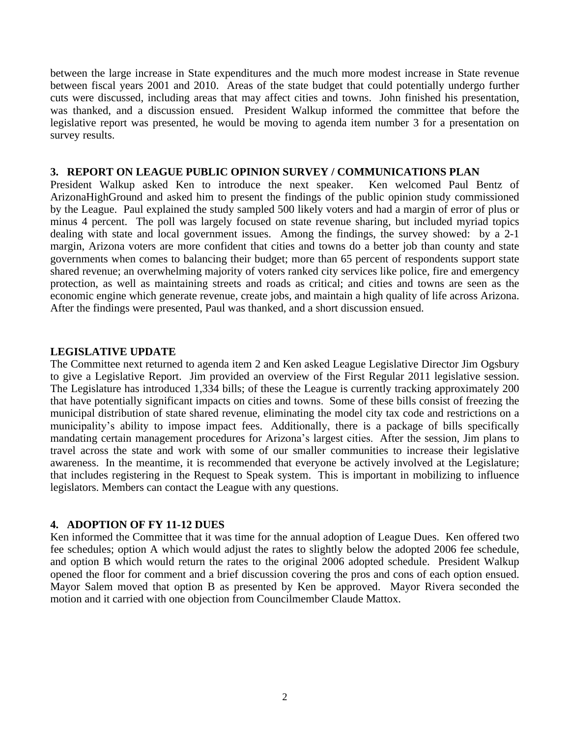between the large increase in State expenditures and the much more modest increase in State revenue between fiscal years 2001 and 2010. Areas of the state budget that could potentially undergo further cuts were discussed, including areas that may affect cities and towns. John finished his presentation, was thanked, and a discussion ensued. President Walkup informed the committee that before the legislative report was presented, he would be moving to agenda item number 3 for a presentation on survey results.

#### **3. REPORT ON LEAGUE PUBLIC OPINION SURVEY / COMMUNICATIONS PLAN**

President Walkup asked Ken to introduce the next speaker. Ken welcomed Paul Bentz of ArizonaHighGround and asked him to present the findings of the public opinion study commissioned by the League. Paul explained the study sampled 500 likely voters and had a margin of error of plus or minus 4 percent. The poll was largely focused on state revenue sharing, but included myriad topics dealing with state and local government issues. Among the findings, the survey showed: by a 2-1 margin, Arizona voters are more confident that cities and towns do a better job than county and state governments when comes to balancing their budget; more than 65 percent of respondents support state shared revenue; an overwhelming majority of voters ranked city services like police, fire and emergency protection, as well as maintaining streets and roads as critical; and cities and towns are seen as the economic engine which generate revenue, create jobs, and maintain a high quality of life across Arizona. After the findings were presented, Paul was thanked, and a short discussion ensued.

# **LEGISLATIVE UPDATE**

The Committee next returned to agenda item 2 and Ken asked League Legislative Director Jim Ogsbury to give a Legislative Report. Jim provided an overview of the First Regular 2011 legislative session. The Legislature has introduced 1,334 bills; of these the League is currently tracking approximately 200 that have potentially significant impacts on cities and towns. Some of these bills consist of freezing the municipal distribution of state shared revenue, eliminating the model city tax code and restrictions on a municipality's ability to impose impact fees. Additionally, there is a package of bills specifically mandating certain management procedures for Arizona's largest cities. After the session, Jim plans to travel across the state and work with some of our smaller communities to increase their legislative awareness. In the meantime, it is recommended that everyone be actively involved at the Legislature; that includes registering in the Request to Speak system. This is important in mobilizing to influence legislators. Members can contact the League with any questions.

# **4. ADOPTION OF FY 11-12 DUES**

Ken informed the Committee that it was time for the annual adoption of League Dues. Ken offered two fee schedules; option A which would adjust the rates to slightly below the adopted 2006 fee schedule, and option B which would return the rates to the original 2006 adopted schedule. President Walkup opened the floor for comment and a brief discussion covering the pros and cons of each option ensued. Mayor Salem moved that option B as presented by Ken be approved. Mayor Rivera seconded the motion and it carried with one objection from Councilmember Claude Mattox.